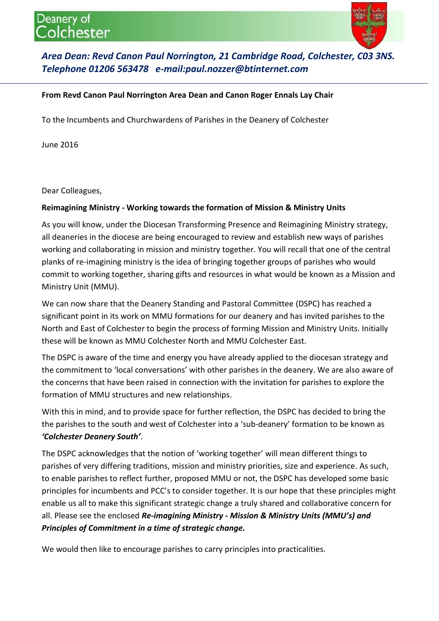## Deanery of blchester



## *Area Dean: Revd Canon Paul Norrington, 21 Cambridge Road, Colchester, C03 3NS. Telephone 01206 563478 e-mail:paul.nozzer@btinternet.com*

## **From Revd Canon Paul Norrington Area Dean and Canon Roger Ennals Lay Chair**

To the Incumbents and Churchwardens of Parishes in the Deanery of Colchester

June 2016

Dear Colleagues,

## **Reimagining Ministry - Working towards the formation of Mission & Ministry Units**

As you will know, under the Diocesan Transforming Presence and Reimagining Ministry strategy, all deaneries in the diocese are being encouraged to review and establish new ways of parishes working and collaborating in mission and ministry together. You will recall that one of the central planks of re-imagining ministry is the idea of bringing together groups of parishes who would commit to working together, sharing gifts and resources in what would be known as a Mission and Ministry Unit (MMU).

We can now share that the Deanery Standing and Pastoral Committee (DSPC) has reached a significant point in its work on MMU formations for our deanery and has invited parishes to the North and East of Colchester to begin the process of forming Mission and Ministry Units. Initially these will be known as MMU Colchester North and MMU Colchester East.

The DSPC is aware of the time and energy you have already applied to the diocesan strategy and the commitment to 'local conversations' with other parishes in the deanery. We are also aware of the concerns that have been raised in connection with the invitation for parishes to explore the formation of MMU structures and new relationships.

With this in mind, and to provide space for further reflection, the DSPC has decided to bring the the parishes to the south and west of Colchester into a 'sub-deanery' formation to be known as *'Colchester Deanery South'*.

The DSPC acknowledges that the notion of 'working together' will mean different things to parishes of very differing traditions, mission and ministry priorities, size and experience. As such, to enable parishes to reflect further, proposed MMU or not, the DSPC has developed some basic principles for incumbents and PCC's to consider together. It is our hope that these principles might enable us all to make this significant strategic change a truly shared and collaborative concern for all. Please see the enclosed *Re-imagining Ministry - Mission & Ministry Units (MMU's) and Principles of Commitment in a time of strategic change.*

We would then like to encourage parishes to carry principles into practicalities.